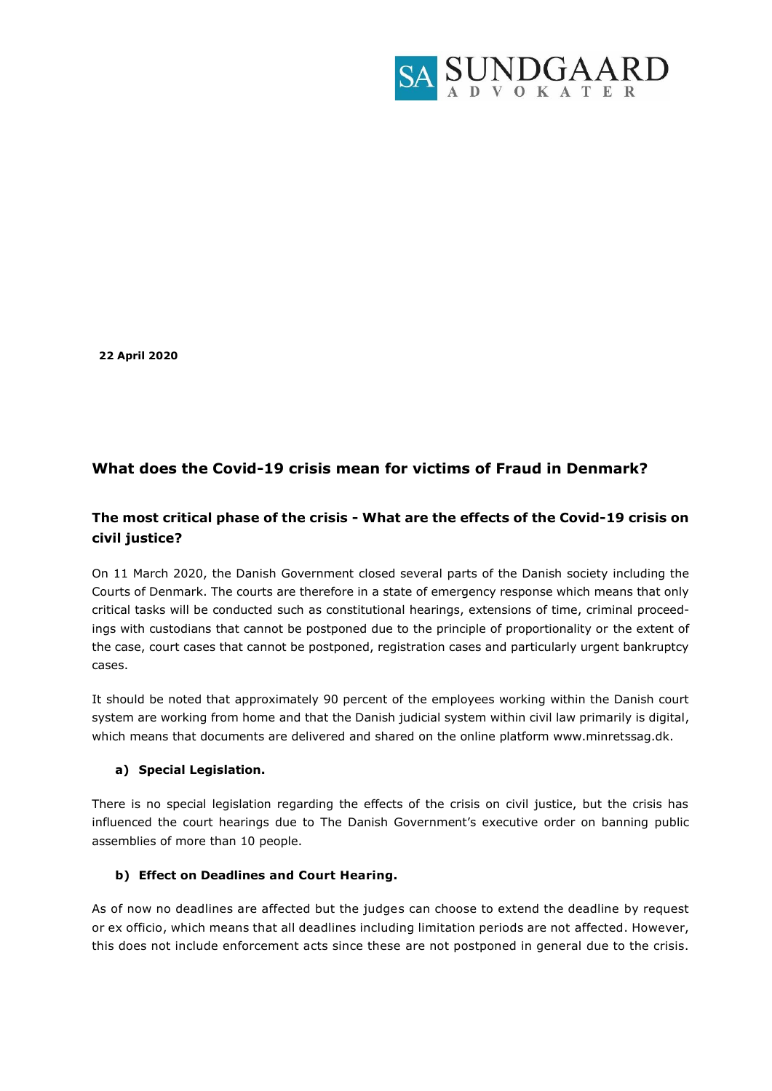

**22 April 2020**

# **What does the Covid-19 crisis mean for victims of Fraud in Denmark?**

# **The most critical phase of the crisis - What are the effects of the Covid-19 crisis on civil justice?**

On 11 March 2020, the Danish Government closed several parts of the Danish society including the Courts of Denmark. The courts are therefore in a state of emergency response which means that only critical tasks will be conducted such as constitutional hearings, extensions of time, criminal proceedings with custodians that cannot be postponed due to the principle of proportionality or the extent of the case, court cases that cannot be postponed, registration cases and particularly urgent bankruptcy cases.

It should be noted that approximately 90 percent of the employees working within the Danish court system are working from home and that the Danish judicial system within civil law primarily is digital, which means that documents are delivered and shared on the online platform www.minretssag.dk.

#### **a) Special Legislation.**

There is no special legislation regarding the effects of the crisis on civil justice, but the crisis has influenced the court hearings due to The Danish Government's executive order on banning public assemblies of more than 10 people.

## **b) Effect on Deadlines and Court Hearing.**

As of now no deadlines are affected but the judges can choose to extend the deadline by request or ex officio, which means that all deadlines including limitation periods are not affected. However, this does not include enforcement acts since these are not postponed in general due to the crisis.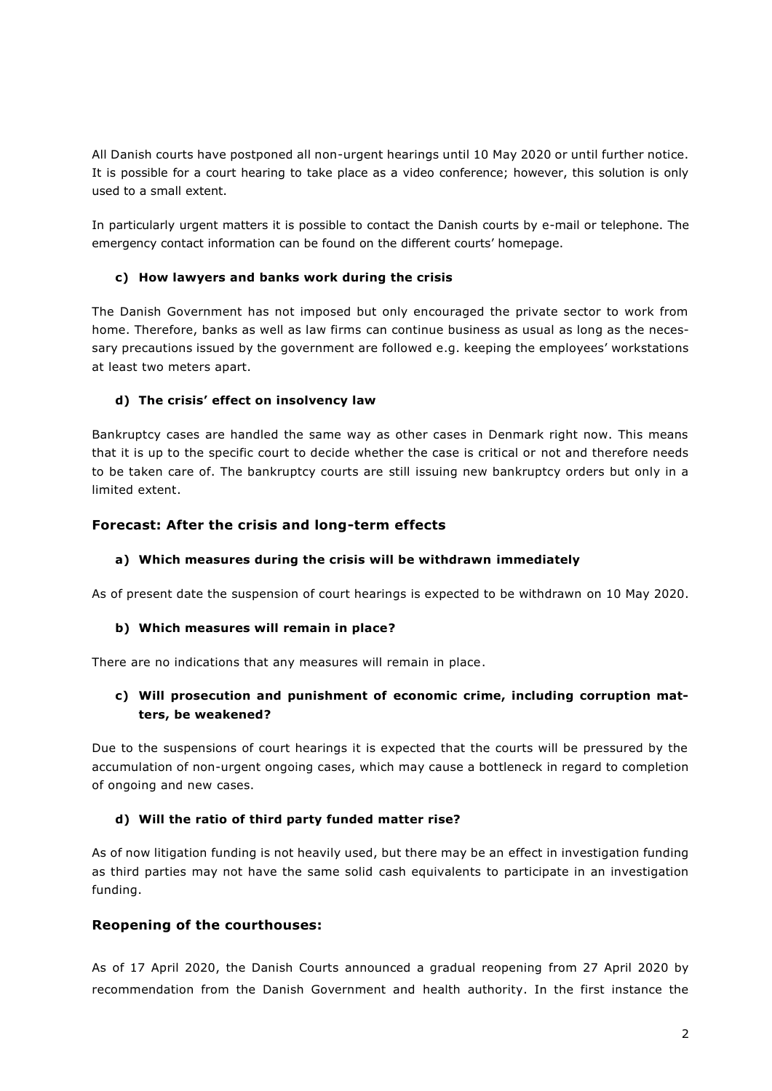All Danish courts have postponed all non-urgent hearings until 10 May 2020 or until further notice. It is possible for a court hearing to take place as a video conference; however, this solution is only used to a small extent.

In particularly urgent matters it is possible to contact the Danish courts by e-mail or telephone. The emergency contact information can be found on the different courts' homepage.

## **c) How lawyers and banks work during the crisis**

The Danish Government has not imposed but only encouraged the private sector to work from home. Therefore, banks as well as law firms can continue business as usual as long as the necessary precautions issued by the government are followed e.g. keeping the employees' workstations at least two meters apart.

## **d) The crisis' effect on insolvency law**

Bankruptcy cases are handled the same way as other cases in Denmark right now. This means that it is up to the specific court to decide whether the case is critical or not and therefore needs to be taken care of. The bankruptcy courts are still issuing new bankruptcy orders but only in a limited extent.

## **Forecast: After the crisis and long-term effects**

#### **a) Which measures during the crisis will be withdrawn immediately**

As of present date the suspension of court hearings is expected to be withdrawn on 10 May 2020.

#### **b) Which measures will remain in place?**

There are no indications that any measures will remain in place.

# **c) Will prosecution and punishment of economic crime, including corruption matters, be weakened?**

Due to the suspensions of court hearings it is expected that the courts will be pressured by the accumulation of non-urgent ongoing cases, which may cause a bottleneck in regard to completion of ongoing and new cases.

#### **d) Will the ratio of third party funded matter rise?**

As of now litigation funding is not heavily used, but there may be an effect in investigation funding as third parties may not have the same solid cash equivalents to participate in an investigation funding.

# **Reopening of the courthouses:**

As of 17 April 2020, the Danish Courts announced a gradual reopening from 27 April 2020 by recommendation from the Danish Government and health authority. In the first instance the